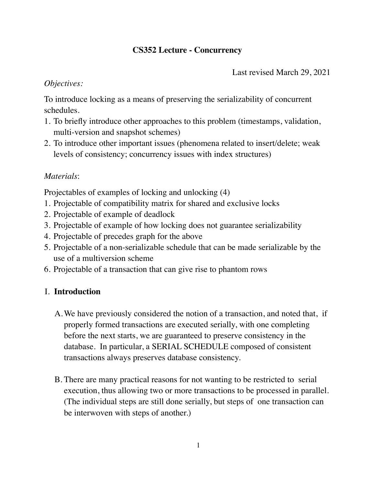## **CS352 Lecture - Concurrency**

Last revised March 29, 2021

## *Objectives:*

To introduce locking as a means of preserving the serializability of concurrent schedules.

- 1. To briefly introduce other approaches to this problem (timestamps, validation, multi-version and snapshot schemes)
- 2. To introduce other important issues (phenomena related to insert/delete; weak levels of consistency; concurrency issues with index structures)

# *Materials*:

Projectables of examples of locking and unlocking (4)

- 1. Projectable of compatibility matrix for shared and exclusive locks
- 2. Projectable of example of deadlock
- 3. Projectable of example of how locking does not guarantee serializability
- 4. Projectable of precedes graph for the above
- 5. Projectable of a non-serializable schedule that can be made serializable by the use of a multiversion scheme
- 6. Projectable of a transaction that can give rise to phantom rows

# I. **Introduction**

- A.We have previously considered the notion of a transaction, and noted that, if properly formed transactions are executed serially, with one completing before the next starts, we are guaranteed to preserve consistency in the database. In particular, a SERIAL SCHEDULE composed of consistent transactions always preserves database consistency.
- B. There are many practical reasons for not wanting to be restricted to serial execution, thus allowing two or more transactions to be processed in parallel. (The individual steps are still done serially, but steps of one transaction can be interwoven with steps of another.)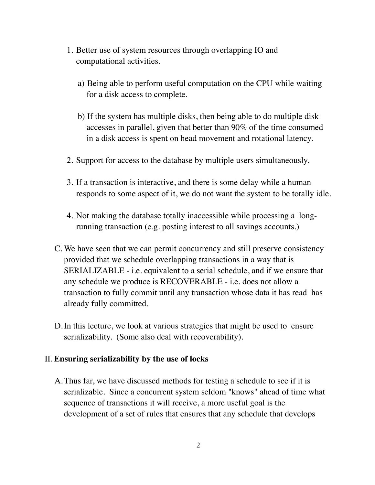- 1. Better use of system resources through overlapping IO and computational activities.
	- a) Being able to perform useful computation on the CPU while waiting for a disk access to complete.
	- b) If the system has multiple disks, then being able to do multiple disk accesses in parallel, given that better than 90% of the time consumed in a disk access is spent on head movement and rotational latency.
- 2. Support for access to the database by multiple users simultaneously.
- 3. If a transaction is interactive, and there is some delay while a human responds to some aspect of it, we do not want the system to be totally idle.
- 4. Not making the database totally inaccessible while processing a longrunning transaction (e.g. posting interest to all savings accounts.)
- C. We have seen that we can permit concurrency and still preserve consistency provided that we schedule overlapping transactions in a way that is SERIALIZABLE - i.e. equivalent to a serial schedule, and if we ensure that any schedule we produce is RECOVERABLE - i.e. does not allow a transaction to fully commit until any transaction whose data it has read has already fully committed.
- D.In this lecture, we look at various strategies that might be used to ensure serializability. (Some also deal with recoverability).

#### II. **Ensuring serializability by the use of locks**

A.Thus far, we have discussed methods for testing a schedule to see if it is serializable. Since a concurrent system seldom "knows" ahead of time what sequence of transactions it will receive, a more useful goal is the development of a set of rules that ensures that any schedule that develops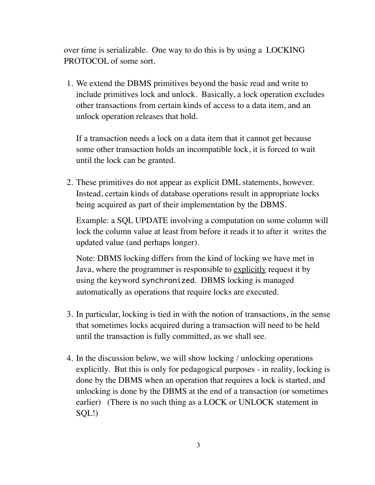over time is serializable. One way to do this is by using a LOCKING PROTOCOL of some sort.

1. We extend the DBMS primitives beyond the basic read and write to include primitives lock and unlock. Basically, a lock operation excludes other transactions from certain kinds of access to a data item, and an unlock operation releases that hold.

If a transaction needs a lock on a data item that it cannot get because some other transaction holds an incompatible lock, it is forced to wait until the lock can be granted.

2. These primitives do not appear as explicit DML statements, however. Instead, certain kinds of database operations result in appropriate locks being acquired as part of their implementation by the DBMS.

Example: a SQL UPDATE involving a computation on some column will lock the column value at least from before it reads it to after it writes the updated value (and perhaps longer).

Note: DBMS locking differs from the kind of locking we have met in Java, where the programmer is responsible to explicitly request it by using the keyword synchronized. DBMS locking is managed automatically as operations that require locks are executed.

- 3. In particular, locking is tied in with the notion of transactions, in the sense that sometimes locks acquired during a transaction will need to be held until the transaction is fully committed, as we shall see.
- 4. In the discussion below, we will show locking / unlocking operations explicitly. But this is only for pedagogical purposes - in reality, locking is done by the DBMS when an operation that requires a lock is started, and unlocking is done by the DBMS at the end of a transaction (or sometimes earlier) (There is no such thing as a LOCK or UNLOCK statement in SQL!)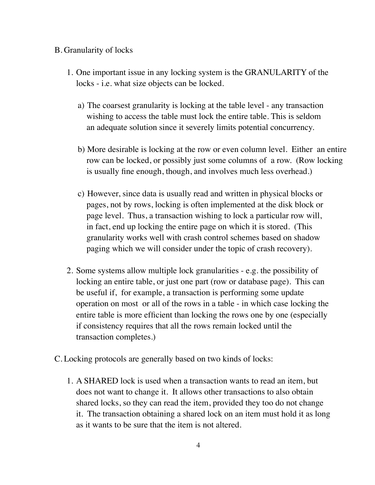### B. Granularity of locks

- 1. One important issue in any locking system is the GRANULARITY of the locks - i.e. what size objects can be locked.
	- a) The coarsest granularity is locking at the table level any transaction wishing to access the table must lock the entire table. This is seldom an adequate solution since it severely limits potential concurrency.
	- b) More desirable is locking at the row or even column level. Either an entire row can be locked, or possibly just some columns of a row. (Row locking is usually fine enough, though, and involves much less overhead.)
	- c) However, since data is usually read and written in physical blocks or pages, not by rows, locking is often implemented at the disk block or page level. Thus, a transaction wishing to lock a particular row will, in fact, end up locking the entire page on which it is stored. (This granularity works well with crash control schemes based on shadow paging which we will consider under the topic of crash recovery).
- 2. Some systems allow multiple lock granularities e.g. the possibility of locking an entire table, or just one part (row or database page). This can be useful if, for example, a transaction is performing some update operation on most or all of the rows in a table - in which case locking the entire table is more efficient than locking the rows one by one (especially if consistency requires that all the rows remain locked until the transaction completes.)
- C. Locking protocols are generally based on two kinds of locks:
	- 1. A SHARED lock is used when a transaction wants to read an item, but does not want to change it. It allows other transactions to also obtain shared locks, so they can read the item, provided they too do not change it. The transaction obtaining a shared lock on an item must hold it as long as it wants to be sure that the item is not altered.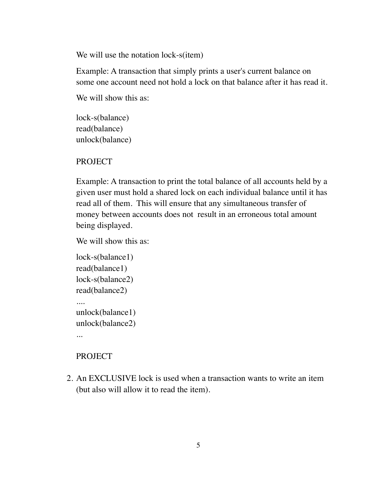We will use the notation lock-s(item)

Example: A transaction that simply prints a user's current balance on some one account need not hold a lock on that balance after it has read it.

We will show this as:

lock-s(balance) read(balance) unlock(balance)

PROJECT

Example: A transaction to print the total balance of all accounts held by a given user must hold a shared lock on each individual balance until it has read all of them. This will ensure that any simultaneous transfer of money between accounts does not result in an erroneous total amount being displayed.

We will show this as:

```
lock-s(balance1) 
read(balance1) 
lock-s(balance2) 
read(balance2) 
.... 
unlock(balance1) 
unlock(balance2) 
...
```
## PROJECT

2. An EXCLUSIVE lock is used when a transaction wants to write an item (but also will allow it to read the item).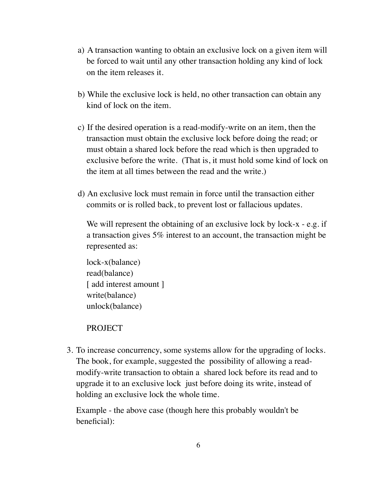- a) A transaction wanting to obtain an exclusive lock on a given item will be forced to wait until any other transaction holding any kind of lock on the item releases it.
- b) While the exclusive lock is held, no other transaction can obtain any kind of lock on the item.
- c) If the desired operation is a read-modify-write on an item, then the transaction must obtain the exclusive lock before doing the read; or must obtain a shared lock before the read which is then upgraded to exclusive before the write. (That is, it must hold some kind of lock on the item at all times between the read and the write.)
- d) An exclusive lock must remain in force until the transaction either commits or is rolled back, to prevent lost or fallacious updates.

We will represent the obtaining of an exclusive lock by lock-x - e.g. if a transaction gives 5% interest to an account, the transaction might be represented as:

```
lock-x(balance) 
read(balance) 
[ add interest amount ]
write(balance) 
unlock(balance)
```
#### PROJECT

3. To increase concurrency, some systems allow for the upgrading of locks. The book, for example, suggested the possibility of allowing a readmodify-write transaction to obtain a shared lock before its read and to upgrade it to an exclusive lock just before doing its write, instead of holding an exclusive lock the whole time.

Example - the above case (though here this probably wouldn't be beneficial):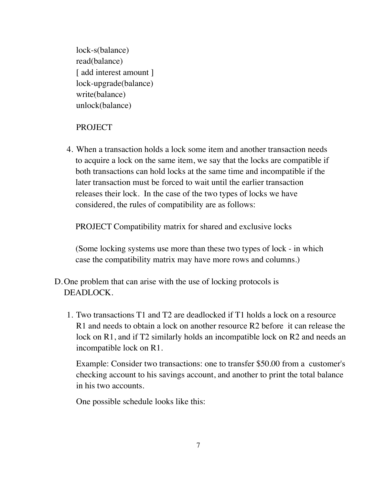lock-s(balance) read(balance) [ add interest amount ] lock-upgrade(balance) write(balance) unlock(balance)

## PROJECT

4. When a transaction holds a lock some item and another transaction needs to acquire a lock on the same item, we say that the locks are compatible if both transactions can hold locks at the same time and incompatible if the later transaction must be forced to wait until the earlier transaction releases their lock. In the case of the two types of locks we have considered, the rules of compatibility are as follows:

PROJECT Compatibility matrix for shared and exclusive locks

(Some locking systems use more than these two types of lock - in which case the compatibility matrix may have more rows and columns.)

- D.One problem that can arise with the use of locking protocols is DEADLOCK.
	- 1. Two transactions T1 and T2 are deadlocked if T1 holds a lock on a resource R1 and needs to obtain a lock on another resource R2 before it can release the lock on R1, and if T2 similarly holds an incompatible lock on R2 and needs an incompatible lock on R1.

Example: Consider two transactions: one to transfer \$50.00 from a customer's checking account to his savings account, and another to print the total balance in his two accounts.

One possible schedule looks like this: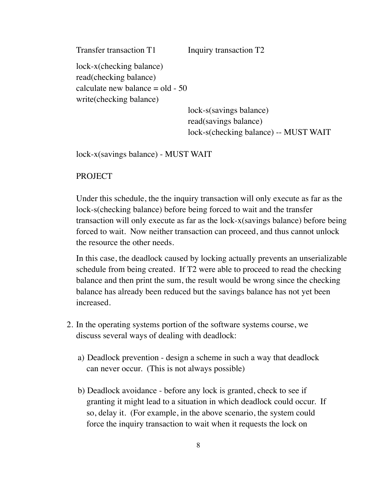Transfer transaction T1 Inquiry transaction T2 lock-x(checking balance) read(checking balance) calculate new balance  $=$  old  $-50$ write(checking balance) lock-s(savings balance)

read(savings balance) lock-s(checking balance) -- MUST WAIT

lock-x(savings balance) - MUST WAIT

#### PROJECT

Under this schedule, the the inquiry transaction will only execute as far as the lock-s(checking balance) before being forced to wait and the transfer transaction will only execute as far as the lock-x(savings balance) before being forced to wait. Now neither transaction can proceed, and thus cannot unlock the resource the other needs.

In this case, the deadlock caused by locking actually prevents an unserializable schedule from being created. If T2 were able to proceed to read the checking balance and then print the sum, the result would be wrong since the checking balance has already been reduced but the savings balance has not yet been increased.

- 2. In the operating systems portion of the software systems course, we discuss several ways of dealing with deadlock:
	- a) Deadlock prevention design a scheme in such a way that deadlock can never occur. (This is not always possible)
	- b) Deadlock avoidance before any lock is granted, check to see if granting it might lead to a situation in which deadlock could occur. If so, delay it. (For example, in the above scenario, the system could force the inquiry transaction to wait when it requests the lock on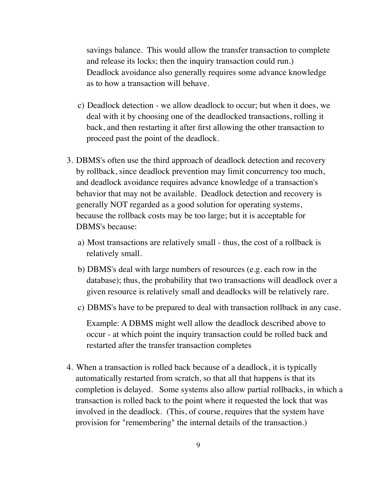savings balance. This would allow the transfer transaction to complete and release its locks; then the inquiry transaction could run.) Deadlock avoidance also generally requires some advance knowledge as to how a transaction will behave.

- c) Deadlock detection we allow deadlock to occur; but when it does, we deal with it by choosing one of the deadlocked transactions, rolling it back, and then restarting it after first allowing the other transaction to proceed past the point of the deadlock.
- 3. DBMS's often use the third approach of deadlock detection and recovery by rollback, since deadlock prevention may limit concurrency too much, and deadlock avoidance requires advance knowledge of a transaction's behavior that may not be available. Deadlock detection and recovery is generally NOT regarded as a good solution for operating systems, because the rollback costs may be too large; but it is acceptable for DBMS's because:
	- a) Most transactions are relatively small thus, the cost of a rollback is relatively small.
	- b) DBMS's deal with large numbers of resources (e.g. each row in the database); thus, the probability that two transactions will deadlock over a given resource is relatively small and deadlocks will be relatively rare.
	- c) DBMS's have to be prepared to deal with transaction rollback in any case.

Example: A DBMS might well allow the deadlock described above to occur - at which point the inquiry transaction could be rolled back and restarted after the transfer transaction completes

4. When a transaction is rolled back because of a deadlock, it is typically automatically restarted from scratch, so that all that happens is that its completion is delayed. Some systems also allow partial rollbacks, in which a transaction is rolled back to the point where it requested the lock that was involved in the deadlock. (This, of course, requires that the system have provision for "remembering" the internal details of the transaction.)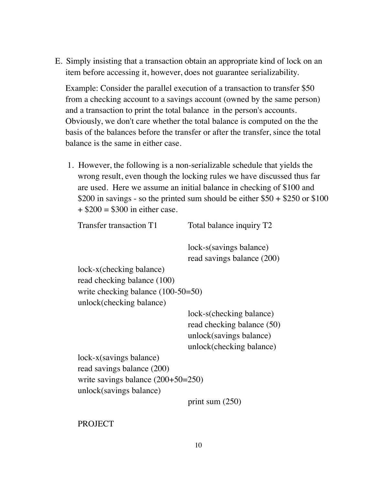E. Simply insisting that a transaction obtain an appropriate kind of lock on an item before accessing it, however, does not guarantee serializability.

Example: Consider the parallel execution of a transaction to transfer \$50 from a checking account to a savings account (owned by the same person) and a transaction to print the total balance in the person's accounts. Obviously, we don't care whether the total balance is computed on the the basis of the balances before the transfer or after the transfer, since the total balance is the same in either case.

1. However, the following is a non-serializable schedule that yields the wrong result, even though the locking rules we have discussed thus far are used. Here we assume an initial balance in checking of \$100 and \$200 in savings - so the printed sum should be either  $$50 + $250$  or \$100  $+$  \$200 = \$300 in either case.

| Transfer transaction T1              | Total balance inquiry T2   |
|--------------------------------------|----------------------------|
|                                      | lock-s(savings balance)    |
|                                      | read savings balance (200) |
| lock-x(checking balance)             |                            |
| read checking balance (100)          |                            |
| write checking balance $(100-50=50)$ |                            |
| unlock(checking balance)             |                            |
|                                      | lock-s(checking balance)   |
|                                      | read checking balance (50) |
|                                      | unlock(savings balance)    |
|                                      | unlock(checking balance)   |
| $lock-x(savings balance)$            |                            |
| read savings balance (200)           |                            |
| write savings balance $(200+50=250)$ |                            |
| unlock(savings balance)              |                            |
|                                      | print sum $(250)$          |

PROJECT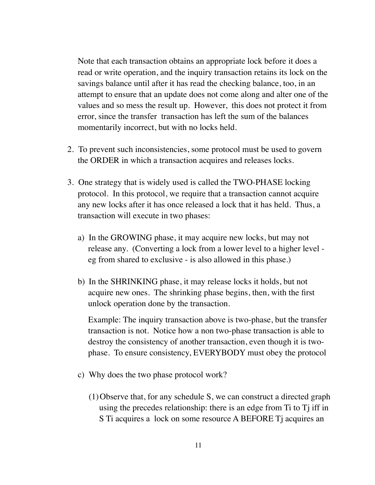Note that each transaction obtains an appropriate lock before it does a read or write operation, and the inquiry transaction retains its lock on the savings balance until after it has read the checking balance, too, in an attempt to ensure that an update does not come along and alter one of the values and so mess the result up. However, this does not protect it from error, since the transfer transaction has left the sum of the balances momentarily incorrect, but with no locks held.

- 2. To prevent such inconsistencies, some protocol must be used to govern the ORDER in which a transaction acquires and releases locks.
- 3. One strategy that is widely used is called the TWO-PHASE locking protocol. In this protocol, we require that a transaction cannot acquire any new locks after it has once released a lock that it has held. Thus, a transaction will execute in two phases:
	- a) In the GROWING phase, it may acquire new locks, but may not release any. (Converting a lock from a lower level to a higher level eg from shared to exclusive - is also allowed in this phase.)
	- b) In the SHRINKING phase, it may release locks it holds, but not acquire new ones. The shrinking phase begins, then, with the first unlock operation done by the transaction.

Example: The inquiry transaction above is two-phase, but the transfer transaction is not. Notice how a non two-phase transaction is able to destroy the consistency of another transaction, even though it is twophase. To ensure consistency, EVERYBODY must obey the protocol

- c) Why does the two phase protocol work?
	- (1)Observe that, for any schedule S, we can construct a directed graph using the precedes relationship: there is an edge from  $Ti$  to  $Ti$  iff in S Ti acquires a lock on some resource A BEFORE Ti acquires an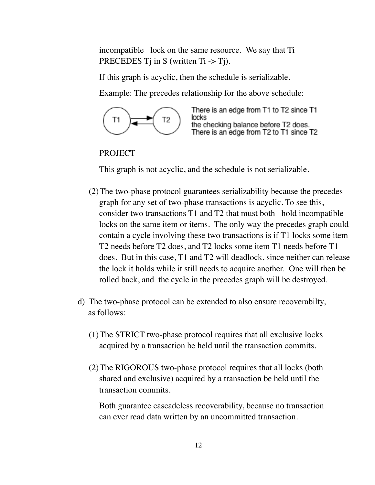incompatible lock on the same resource. We say that Ti PRECEDES  $T_i$  in S (written  $T_i \rightarrow T_i$ ).

If this graph is acyclic, then the schedule is serializable.

Example: The precedes relationship for the above schedule:



There is an edge from T1 to T2 since T1 locks the checking balance before T2 does. There is an edge from T2 to T1 since T2

#### PROJECT

This graph is not acyclic, and the schedule is not serializable.

- (2)The two-phase protocol guarantees serializability because the precedes graph for any set of two-phase transactions is acyclic. To see this, consider two transactions T1 and T2 that must both hold incompatible locks on the same item or items. The only way the precedes graph could contain a cycle involving these two transactions is if T1 locks some item T2 needs before T2 does, and T2 locks some item T1 needs before T1 does. But in this case, T1 and T2 will deadlock, since neither can release the lock it holds while it still needs to acquire another. One will then be rolled back, and the cycle in the precedes graph will be destroyed.
- d) The two-phase protocol can be extended to also ensure recoverabilty, as follows:
	- (1)The STRICT two-phase protocol requires that all exclusive locks acquired by a transaction be held until the transaction commits.
	- (2)The RIGOROUS two-phase protocol requires that all locks (both shared and exclusive) acquired by a transaction be held until the transaction commits.

Both guarantee cascadeless recoverability, because no transaction can ever read data written by an uncommitted transaction.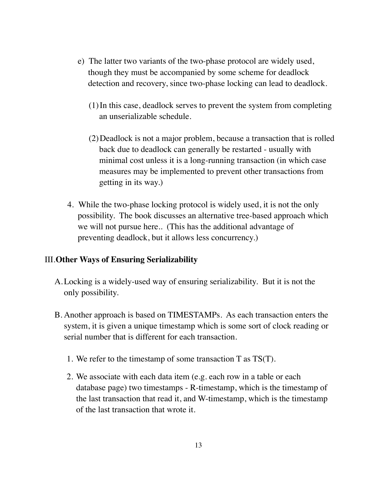- e) The latter two variants of the two-phase protocol are widely used, though they must be accompanied by some scheme for deadlock detection and recovery, since two-phase locking can lead to deadlock.
	- (1)In this case, deadlock serves to prevent the system from completing an unserializable schedule.
	- (2)Deadlock is not a major problem, because a transaction that is rolled back due to deadlock can generally be restarted - usually with minimal cost unless it is a long-running transaction (in which case measures may be implemented to prevent other transactions from getting in its way.)
- 4. While the two-phase locking protocol is widely used, it is not the only possibility. The book discusses an alternative tree-based approach which we will not pursue here.. (This has the additional advantage of preventing deadlock, but it allows less concurrency.)

#### III.**Other Ways of Ensuring Serializability**

- A.Locking is a widely-used way of ensuring serializability. But it is not the only possibility.
- B. Another approach is based on TIMESTAMPs. As each transaction enters the system, it is given a unique timestamp which is some sort of clock reading or serial number that is different for each transaction.
	- 1. We refer to the timestamp of some transaction T as TS(T).
	- 2. We associate with each data item (e.g. each row in a table or each database page) two timestamps - R-timestamp, which is the timestamp of the last transaction that read it, and W-timestamp, which is the timestamp of the last transaction that wrote it.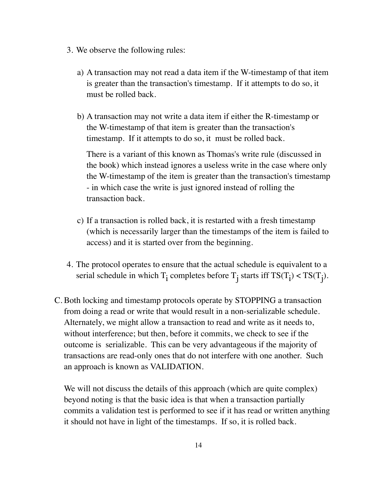- 3. We observe the following rules:
	- a) A transaction may not read a data item if the W-timestamp of that item is greater than the transaction's timestamp. If it attempts to do so, it must be rolled back.
	- b) A transaction may not write a data item if either the R-timestamp or the W-timestamp of that item is greater than the transaction's timestamp. If it attempts to do so, it must be rolled back.

There is a variant of this known as Thomas's write rule (discussed in the book) which instead ignores a useless write in the case where only the W-timestamp of the item is greater than the transaction's timestamp - in which case the write is just ignored instead of rolling the transaction back.

- c) If a transaction is rolled back, it is restarted with a fresh timestamp (which is necessarily larger than the timestamps of the item is failed to access) and it is started over from the beginning.
- 4. The protocol operates to ensure that the actual schedule is equivalent to a serial schedule in which  $T_i$  completes before  $T_j$  starts iff  $TS(T_i) < TS(T_j)$ .
- C. Both locking and timestamp protocols operate by STOPPING a transaction from doing a read or write that would result in a non-serializable schedule. Alternately, we might allow a transaction to read and write as it needs to, without interference; but then, before it commits, we check to see if the outcome is serializable. This can be very advantageous if the majority of transactions are read-only ones that do not interfere with one another. Such an approach is known as VALIDATION.

We will not discuss the details of this approach (which are quite complex) beyond noting is that the basic idea is that when a transaction partially commits a validation test is performed to see if it has read or written anything it should not have in light of the timestamps. If so, it is rolled back.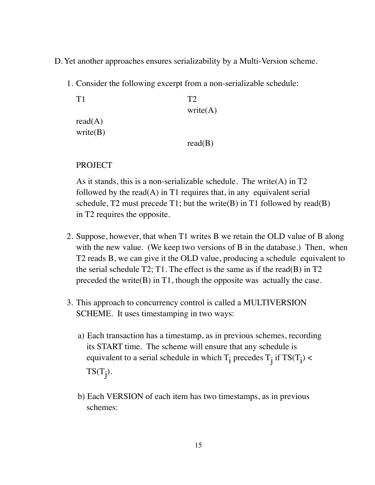- D.Yet another approaches ensures serializability by a Multi-Version scheme.
	- 1. Consider the following excerpt from a non-serializable schedule:

```
T1 T2
                  write(A)read(A)write(B) 
                  read(B)
```
PROJECT

As it stands, this is a non-serializable schedule. The write  $(A)$  in T2 followed by the read(A) in T1 requires that, in any equivalent serial schedule,  $T2$  must precede T1; but the write(B) in T1 followed by read(B) in T2 requires the opposite.

- 2. Suppose, however, that when T1 writes B we retain the OLD value of B along with the new value. (We keep two versions of B in the database.) Then, when T2 reads B, we can give it the OLD value, producing a schedule equivalent to the serial schedule  $T2$ ; T1. The effect is the same as if the read(B) in T2 preceded the write $(B)$  in T1, though the opposite was actually the case.
- 3. This approach to concurrency control is called a MULTIVERSION SCHEME. It uses timestamping in two ways:
	- a) Each transaction has a timestamp, as in previous schemes, recording its START time. The scheme will ensure that any schedule is equivalent to a serial schedule in which  $T_i$  precedes  $T_j$  if  $TS(T_i)$  <  $TS(T_j)$ .
	- b) Each VERSION of each item has two timestamps, as in previous schemes: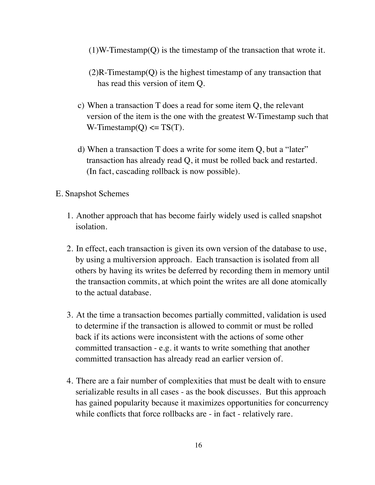- $(1)$ W-Timestamp $(Q)$  is the timestamp of the transaction that wrote it.
- $(2)$ R-Timestamp $(Q)$  is the highest timestamp of any transaction that has read this version of item Q.
- c) When a transaction T does a read for some item Q, the relevant version of the item is the one with the greatest W-Timestamp such that W-Timestamp $(Q) \leq T S(T)$ .
- d) When a transaction T does a write for some item Q, but a "later" transaction has already read Q, it must be rolled back and restarted. (In fact, cascading rollback is now possible).
- E. Snapshot Schemes
	- 1. Another approach that has become fairly widely used is called snapshot isolation.
	- 2. In effect, each transaction is given its own version of the database to use, by using a multiversion approach. Each transaction is isolated from all others by having its writes be deferred by recording them in memory until the transaction commits, at which point the writes are all done atomically to the actual database.
	- 3. At the time a transaction becomes partially committed, validation is used to determine if the transaction is allowed to commit or must be rolled back if its actions were inconsistent with the actions of some other committed transaction - e.g. it wants to write something that another committed transaction has already read an earlier version of.
	- 4. There are a fair number of complexities that must be dealt with to ensure serializable results in all cases - as the book discusses. But this approach has gained popularity because it maximizes opportunities for concurrency while conflicts that force rollbacks are - in fact - relatively rare.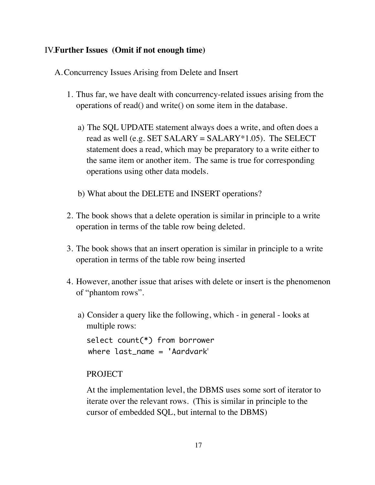### IV.**Further Issues (Omit if not enough time)**

A.Concurrency Issues Arising from Delete and Insert

- 1. Thus far, we have dealt with concurrency-related issues arising from the operations of read() and write() on some item in the database.
	- a) The SQL UPDATE statement always does a write, and often does a read as well (e.g. SET SALARY = SALARY  $*1.05$ ). The SELECT statement does a read, which may be preparatory to a write either to the same item or another item. The same is true for corresponding operations using other data models.
	- b) What about the DELETE and INSERT operations?
- 2. The book shows that a delete operation is similar in principle to a write operation in terms of the table row being deleted.
- 3. The book shows that an insert operation is similar in principle to a write operation in terms of the table row being inserted
- 4. However, another issue that arises with delete or insert is the phenomenon of "phantom rows".
	- a) Consider a query like the following, which in general looks at multiple rows:

select count(\*) from borrower where last name  $=$  'Aardvark'

#### PROJECT

At the implementation level, the DBMS uses some sort of iterator to iterate over the relevant rows. (This is similar in principle to the cursor of embedded SQL, but internal to the DBMS)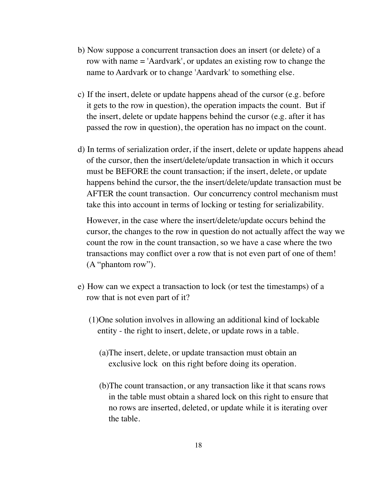- b) Now suppose a concurrent transaction does an insert (or delete) of a row with name = 'Aardvark', or updates an existing row to change the name to Aardvark or to change 'Aardvark' to something else.
- c) If the insert, delete or update happens ahead of the cursor (e.g. before it gets to the row in question), the operation impacts the count. But if the insert, delete or update happens behind the cursor (e.g. after it has passed the row in question), the operation has no impact on the count.
- d) In terms of serialization order, if the insert, delete or update happens ahead of the cursor, then the insert/delete/update transaction in which it occurs must be BEFORE the count transaction; if the insert, delete, or update happens behind the cursor, the the insert/delete/update transaction must be AFTER the count transaction. Our concurrency control mechanism must take this into account in terms of locking or testing for serializability.

However, in the case where the insert/delete/update occurs behind the cursor, the changes to the row in question do not actually affect the way we count the row in the count transaction, so we have a case where the two transactions may conflict over a row that is not even part of one of them! (A "phantom row").

- e) How can we expect a transaction to lock (or test the timestamps) of a row that is not even part of it?
	- (1)One solution involves in allowing an additional kind of lockable entity - the right to insert, delete, or update rows in a table.
		- (a)The insert, delete, or update transaction must obtain an exclusive lock on this right before doing its operation.
		- (b)The count transaction, or any transaction like it that scans rows in the table must obtain a shared lock on this right to ensure that no rows are inserted, deleted, or update while it is iterating over the table.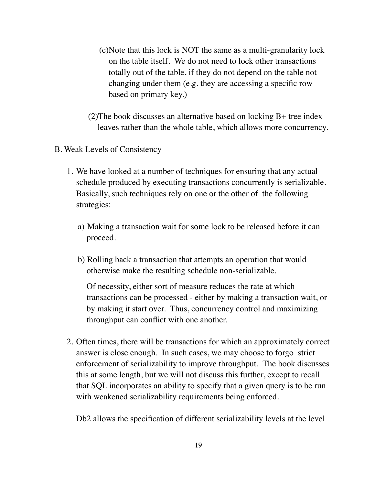- (c)Note that this lock is NOT the same as a multi-granularity lock on the table itself. We do not need to lock other transactions totally out of the table, if they do not depend on the table not changing under them (e.g. they are accessing a specific row based on primary key.)
- (2)The book discusses an alternative based on locking B+ tree index leaves rather than the whole table, which allows more concurrency.
- B. Weak Levels of Consistency
	- 1. We have looked at a number of techniques for ensuring that any actual schedule produced by executing transactions concurrently is serializable. Basically, such techniques rely on one or the other of the following strategies:
		- a) Making a transaction wait for some lock to be released before it can proceed.
		- b) Rolling back a transaction that attempts an operation that would otherwise make the resulting schedule non-serializable.

Of necessity, either sort of measure reduces the rate at which transactions can be processed - either by making a transaction wait, or by making it start over. Thus, concurrency control and maximizing throughput can conflict with one another.

2. Often times, there will be transactions for which an approximately correct answer is close enough. In such cases, we may choose to forgo strict enforcement of serializability to improve throughput. The book discusses this at some length, but we will not discuss this further, except to recall that SQL incorporates an ability to specify that a given query is to be run with weakened serializability requirements being enforced.

Db2 allows the specification of different serializability levels at the level